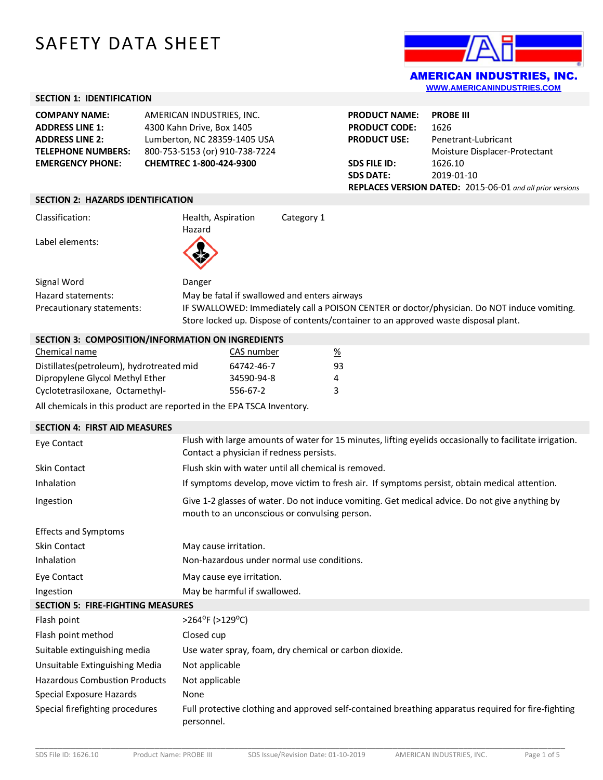# SAFETY DATA SHEET



**[WWW.AMERICANINDUSTRIES.COM](http://www.americanindustries.com/)**

## **SECTION 1: IDENTIFICATION**

| <b>COMPANY NAME:</b>      | AMERICAN INDUSTRIES, INC.      |
|---------------------------|--------------------------------|
| <b>ADDRESS LINE 1:</b>    | 4300 Kahn Drive, Box 1405      |
| <b>ADDRESS LINE 2:</b>    | Lumberton, NC 28359-1405 USA   |
| <b>TELEPHONE NUMBERS:</b> | 800-753-5153 (or) 910-738-7224 |
| <b>EMERGENCY PHONE:</b>   | CHEMTREC 1-800-424-9300        |
|                           |                                |

| <b>PRODUCT NAME:</b> | <b>PROBE III</b>                                                 |
|----------------------|------------------------------------------------------------------|
| <b>PRODUCT CODE:</b> | 1626                                                             |
| <b>PRODUCT USE:</b>  | Penetrant-Lubricant                                              |
|                      | Moisture Displacer-Protectant                                    |
| <b>SDS FILE ID:</b>  | 1626.10                                                          |
| <b>SDS DATE:</b>     | 2019-01-10                                                       |
|                      | <b>REPLACES VERSION DATED:</b> 2015-06-01 and all prior versions |
|                      |                                                                  |

#### **SECTION 2: HAZARDS IDENTIFICATION**

| Classification: | Health, Aspiration | Category 1 |
|-----------------|--------------------|------------|
| Label elements: | Hazard             |            |
|                 |                    |            |

| Signal Word               | Danger                                                                                                                                                                             |
|---------------------------|------------------------------------------------------------------------------------------------------------------------------------------------------------------------------------|
| Hazard statements:        | May be fatal if swallowed and enters airways                                                                                                                                       |
| Precautionary statements: | IF SWALLOWED: Immediately call a POISON CENTER or doctor/physician. Do NOT induce vomiting.<br>Store locked up. Dispose of contents/container to an approved waste disposal plant. |

### **SECTION 3: COMPOSITION/INFORMATION ON INGREDIENTS**

| Chemical name                            | CAS number | %  |
|------------------------------------------|------------|----|
| Distillates(petroleum), hydrotreated mid | 64742-46-7 | 93 |
| Dipropylene Glycol Methyl Ether          | 34590-94-8 | 4  |
| Cyclotetrasiloxane, Octamethyl-          | 556-67-2   | 3  |

All chemicals in this product are reported in the EPA TSCA Inventory.

| <b>SECTION 4: FIRST AID MEASURES</b>     |                                                                                                                                                      |  |  |
|------------------------------------------|------------------------------------------------------------------------------------------------------------------------------------------------------|--|--|
| Eye Contact                              | Flush with large amounts of water for 15 minutes, lifting eyelids occasionally to facilitate irrigation.<br>Contact a physician if redness persists. |  |  |
| <b>Skin Contact</b>                      | Flush skin with water until all chemical is removed.                                                                                                 |  |  |
| Inhalation                               | If symptoms develop, move victim to fresh air. If symptoms persist, obtain medical attention.                                                        |  |  |
| Ingestion                                | Give 1-2 glasses of water. Do not induce vomiting. Get medical advice. Do not give anything by<br>mouth to an unconscious or convulsing person.      |  |  |
| <b>Effects and Symptoms</b>              |                                                                                                                                                      |  |  |
| Skin Contact                             | May cause irritation.                                                                                                                                |  |  |
| Inhalation                               | Non-hazardous under normal use conditions.                                                                                                           |  |  |
| Eye Contact                              | May cause eye irritation.                                                                                                                            |  |  |
| Ingestion                                | May be harmful if swallowed.                                                                                                                         |  |  |
| <b>SECTION 5: FIRE-FIGHTING MEASURES</b> |                                                                                                                                                      |  |  |
| Flash point                              | >264°F (>129°C)                                                                                                                                      |  |  |
| Flash point method                       | Closed cup                                                                                                                                           |  |  |
| Suitable extinguishing media             | Use water spray, foam, dry chemical or carbon dioxide.                                                                                               |  |  |
| Unsuitable Extinguishing Media           | Not applicable                                                                                                                                       |  |  |
| <b>Hazardous Combustion Products</b>     | Not applicable                                                                                                                                       |  |  |
| Special Exposure Hazards                 | None                                                                                                                                                 |  |  |
| Special firefighting procedures          | Full protective clothing and approved self-contained breathing apparatus required for fire-fighting<br>personnel.                                    |  |  |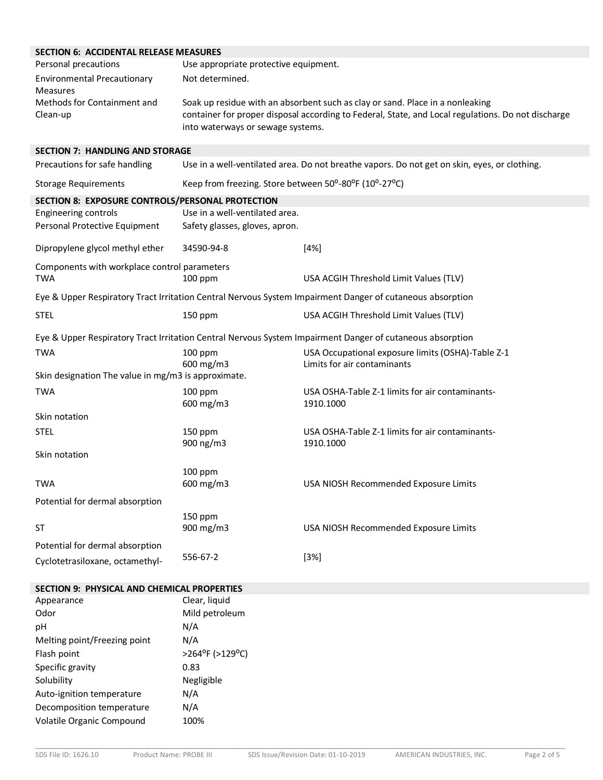# **SECTION 6: ACCIDENTAL RELEASE MEASURES**

| SECTION 6: ACCIDENTAL RELEASE MEASURES                     |                                                                                                                                                                                                                          |                                                                                                           |  |  |
|------------------------------------------------------------|--------------------------------------------------------------------------------------------------------------------------------------------------------------------------------------------------------------------------|-----------------------------------------------------------------------------------------------------------|--|--|
| Personal precautions                                       | Use appropriate protective equipment.                                                                                                                                                                                    |                                                                                                           |  |  |
| <b>Environmental Precautionary</b><br><b>Measures</b>      | Not determined.                                                                                                                                                                                                          |                                                                                                           |  |  |
| Methods for Containment and<br>Clean-up                    | Soak up residue with an absorbent such as clay or sand. Place in a nonleaking<br>container for proper disposal according to Federal, State, and Local regulations. Do not discharge<br>into waterways or sewage systems. |                                                                                                           |  |  |
| <b>SECTION 7: HANDLING AND STORAGE</b>                     |                                                                                                                                                                                                                          |                                                                                                           |  |  |
| Precautions for safe handling                              |                                                                                                                                                                                                                          | Use in a well-ventilated area. Do not breathe vapors. Do not get on skin, eyes, or clothing.              |  |  |
| <b>Storage Requirements</b>                                | Keep from freezing. Store between 50°-80°F (10°-27°C)                                                                                                                                                                    |                                                                                                           |  |  |
| SECTION 8: EXPOSURE CONTROLS/PERSONAL PROTECTION           |                                                                                                                                                                                                                          |                                                                                                           |  |  |
| Engineering controls<br>Personal Protective Equipment      | Use in a well-ventilated area.<br>Safety glasses, gloves, apron.                                                                                                                                                         |                                                                                                           |  |  |
| Dipropylene glycol methyl ether                            | 34590-94-8                                                                                                                                                                                                               | [4%]                                                                                                      |  |  |
| Components with workplace control parameters<br><b>TWA</b> | 100 ppm                                                                                                                                                                                                                  | USA ACGIH Threshold Limit Values (TLV)                                                                    |  |  |
|                                                            |                                                                                                                                                                                                                          | Eye & Upper Respiratory Tract Irritation Central Nervous System Impairment Danger of cutaneous absorption |  |  |
| <b>STEL</b>                                                | 150 ppm                                                                                                                                                                                                                  | USA ACGIH Threshold Limit Values (TLV)                                                                    |  |  |
|                                                            |                                                                                                                                                                                                                          | Eye & Upper Respiratory Tract Irritation Central Nervous System Impairment Danger of cutaneous absorption |  |  |
| <b>TWA</b>                                                 | $100$ ppm<br>600 mg/m3                                                                                                                                                                                                   | USA Occupational exposure limits (OSHA)-Table Z-1<br>Limits for air contaminants                          |  |  |
| Skin designation The value in mg/m3 is approximate.        |                                                                                                                                                                                                                          |                                                                                                           |  |  |
| <b>TWA</b>                                                 | 100 ppm<br>600 mg/m3                                                                                                                                                                                                     | USA OSHA-Table Z-1 limits for air contaminants-<br>1910.1000                                              |  |  |
| Skin notation                                              |                                                                                                                                                                                                                          |                                                                                                           |  |  |
| <b>STEL</b>                                                | 150 ppm<br>900 ng/m3                                                                                                                                                                                                     | USA OSHA-Table Z-1 limits for air contaminants-<br>1910.1000                                              |  |  |
| Skin notation                                              |                                                                                                                                                                                                                          |                                                                                                           |  |  |
| <b>TWA</b>                                                 | 100 ppm<br>600 mg/m3                                                                                                                                                                                                     | USA NIOSH Recommended Exposure Limits                                                                     |  |  |
| Potential for dermal absorption                            |                                                                                                                                                                                                                          |                                                                                                           |  |  |
| <b>ST</b>                                                  | 150 ppm<br>900 mg/m3                                                                                                                                                                                                     | USA NIOSH Recommended Exposure Limits                                                                     |  |  |
| Potential for dermal absorption                            |                                                                                                                                                                                                                          |                                                                                                           |  |  |
| Cyclotetrasiloxane, octamethyl-                            | 556-67-2                                                                                                                                                                                                                 | $[3%]$                                                                                                    |  |  |
| <b>SECTION 9: PHYSICAL AND CHEMICAL PROPERTIES</b>         |                                                                                                                                                                                                                          |                                                                                                           |  |  |
| Appearance                                                 | Clear, liquid                                                                                                                                                                                                            |                                                                                                           |  |  |
| Odor                                                       | Mild petroleum                                                                                                                                                                                                           |                                                                                                           |  |  |
| pH                                                         | N/A                                                                                                                                                                                                                      |                                                                                                           |  |  |

| <b>UU</b>                    | ivilia pou vicalit |
|------------------------------|--------------------|
| рH                           | N/A                |
| Melting point/Freezing point | N/A                |
| Flash point                  | >264°F (>129°C)    |
| Specific gravity             | 0.83               |
| Solubility                   | Negligible         |
| Auto-ignition temperature    | N/A                |
| Decomposition temperature    | N/A                |
| Volatile Organic Compound    | 100%               |
|                              |                    |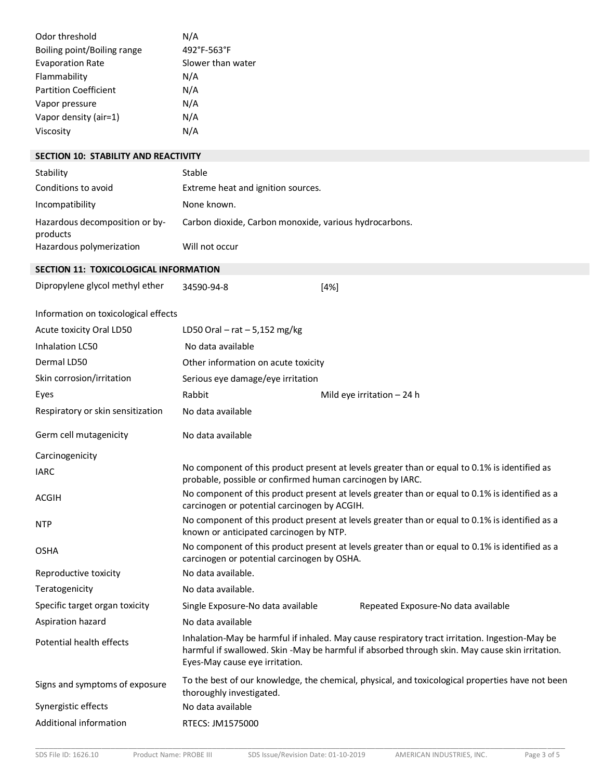| Odor threshold                              | N/A                                                                                                                                                        |                                                                                                                                                                                                   |  |  |
|---------------------------------------------|------------------------------------------------------------------------------------------------------------------------------------------------------------|---------------------------------------------------------------------------------------------------------------------------------------------------------------------------------------------------|--|--|
| Boiling point/Boiling range                 | 492°F-563°F                                                                                                                                                |                                                                                                                                                                                                   |  |  |
| <b>Evaporation Rate</b>                     | Slower than water                                                                                                                                          |                                                                                                                                                                                                   |  |  |
| Flammability                                | N/A                                                                                                                                                        |                                                                                                                                                                                                   |  |  |
| <b>Partition Coefficient</b>                | N/A<br>N/A                                                                                                                                                 |                                                                                                                                                                                                   |  |  |
| Vapor pressure<br>Vapor density (air=1)     | N/A                                                                                                                                                        |                                                                                                                                                                                                   |  |  |
| Viscosity                                   | N/A                                                                                                                                                        |                                                                                                                                                                                                   |  |  |
|                                             |                                                                                                                                                            |                                                                                                                                                                                                   |  |  |
| <b>SECTION 10: STABILITY AND REACTIVITY</b> |                                                                                                                                                            |                                                                                                                                                                                                   |  |  |
| Stability                                   | Stable                                                                                                                                                     |                                                                                                                                                                                                   |  |  |
| Conditions to avoid                         | Extreme heat and ignition sources.                                                                                                                         |                                                                                                                                                                                                   |  |  |
| Incompatibility                             | None known.                                                                                                                                                |                                                                                                                                                                                                   |  |  |
| Hazardous decomposition or by-<br>products  | Carbon dioxide, Carbon monoxide, various hydrocarbons.                                                                                                     |                                                                                                                                                                                                   |  |  |
| Hazardous polymerization                    | Will not occur                                                                                                                                             |                                                                                                                                                                                                   |  |  |
| SECTION 11: TOXICOLOGICAL INFORMATION       |                                                                                                                                                            |                                                                                                                                                                                                   |  |  |
| Dipropylene glycol methyl ether             | 34590-94-8                                                                                                                                                 | $[4\%]$                                                                                                                                                                                           |  |  |
| Information on toxicological effects        |                                                                                                                                                            |                                                                                                                                                                                                   |  |  |
| Acute toxicity Oral LD50                    | LD50 Oral $-$ rat $-$ 5,152 mg/kg                                                                                                                          |                                                                                                                                                                                                   |  |  |
| Inhalation LC50                             | No data available                                                                                                                                          |                                                                                                                                                                                                   |  |  |
| Dermal LD50                                 | Other information on acute toxicity                                                                                                                        |                                                                                                                                                                                                   |  |  |
| Skin corrosion/irritation                   | Serious eye damage/eye irritation                                                                                                                          |                                                                                                                                                                                                   |  |  |
| Eyes                                        | Rabbit                                                                                                                                                     | Mild eye irritation $-24$ h                                                                                                                                                                       |  |  |
| Respiratory or skin sensitization           | No data available                                                                                                                                          |                                                                                                                                                                                                   |  |  |
|                                             |                                                                                                                                                            |                                                                                                                                                                                                   |  |  |
| Germ cell mutagenicity                      | No data available                                                                                                                                          |                                                                                                                                                                                                   |  |  |
| Carcinogenicity                             |                                                                                                                                                            |                                                                                                                                                                                                   |  |  |
| <b>IARC</b>                                 | No component of this product present at levels greater than or equal to 0.1% is identified as<br>probable, possible or confirmed human carcinogen by IARC. |                                                                                                                                                                                                   |  |  |
| <b>ACGIH</b>                                | No component of this product present at levels greater than or equal to 0.1% is identified as a<br>carcinogen or potential carcinogen by ACGIH.            |                                                                                                                                                                                                   |  |  |
| <b>NTP</b>                                  | No component of this product present at levels greater than or equal to 0.1% is identified as a<br>known or anticipated carcinogen by NTP.                 |                                                                                                                                                                                                   |  |  |
| <b>OSHA</b>                                 | No component of this product present at levels greater than or equal to 0.1% is identified as a<br>carcinogen or potential carcinogen by OSHA.             |                                                                                                                                                                                                   |  |  |
| Reproductive toxicity                       | No data available.                                                                                                                                         |                                                                                                                                                                                                   |  |  |
| Teratogenicity                              | No data available.                                                                                                                                         |                                                                                                                                                                                                   |  |  |
| Specific target organ toxicity              | Single Exposure-No data available                                                                                                                          | Repeated Exposure-No data available                                                                                                                                                               |  |  |
| Aspiration hazard                           | No data available                                                                                                                                          |                                                                                                                                                                                                   |  |  |
| Potential health effects                    | Eyes-May cause eye irritation.                                                                                                                             | Inhalation-May be harmful if inhaled. May cause respiratory tract irritation. Ingestion-May be<br>harmful if swallowed. Skin -May be harmful if absorbed through skin. May cause skin irritation. |  |  |
| Signs and symptoms of exposure              | thoroughly investigated.                                                                                                                                   | To the best of our knowledge, the chemical, physical, and toxicological properties have not been                                                                                                  |  |  |
| Synergistic effects                         | No data available                                                                                                                                          |                                                                                                                                                                                                   |  |  |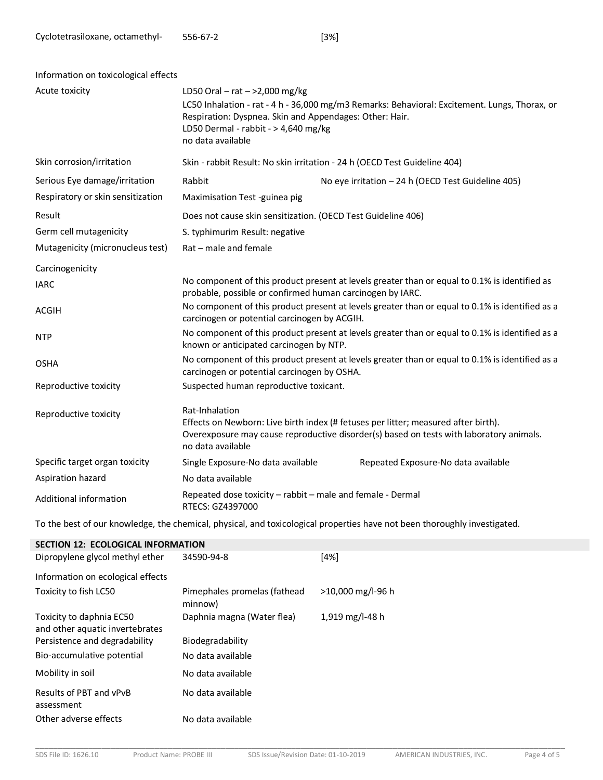| Acute toxicity<br>LD50 Oral – rat – >2,000 mg/kg<br>LC50 Inhalation - rat - 4 h - 36,000 mg/m3 Remarks: Behavioral: Excitement. Lungs, Thorax, or<br>Respiration: Dyspnea. Skin and Appendages: Other: Hair.<br>LD50 Dermal - rabbit - > 4,640 mg/kg |                                                                                                 |  |  |
|------------------------------------------------------------------------------------------------------------------------------------------------------------------------------------------------------------------------------------------------------|-------------------------------------------------------------------------------------------------|--|--|
| no data available                                                                                                                                                                                                                                    |                                                                                                 |  |  |
| Skin corrosion/irritation<br>Skin - rabbit Result: No skin irritation - 24 h (OECD Test Guideline 404)                                                                                                                                               |                                                                                                 |  |  |
| Serious Eye damage/irritation<br>Rabbit<br>No eye irritation - 24 h (OECD Test Guideline 405)                                                                                                                                                        |                                                                                                 |  |  |
| Respiratory or skin sensitization<br>Maximisation Test -guinea pig                                                                                                                                                                                   |                                                                                                 |  |  |
| Result<br>Does not cause skin sensitization. (OECD Test Guideline 406)                                                                                                                                                                               |                                                                                                 |  |  |
| Germ cell mutagenicity<br>S. typhimurim Result: negative                                                                                                                                                                                             |                                                                                                 |  |  |
| Mutagenicity (micronucleus test)<br>Rat - male and female                                                                                                                                                                                            |                                                                                                 |  |  |
| Carcinogenicity                                                                                                                                                                                                                                      |                                                                                                 |  |  |
| <b>IARC</b><br>probable, possible or confirmed human carcinogen by IARC.                                                                                                                                                                             | No component of this product present at levels greater than or equal to 0.1% is identified as   |  |  |
| ACGIH<br>carcinogen or potential carcinogen by ACGIH.                                                                                                                                                                                                | No component of this product present at levels greater than or equal to 0.1% is identified as a |  |  |
| <b>NTP</b><br>known or anticipated carcinogen by NTP.                                                                                                                                                                                                | No component of this product present at levels greater than or equal to 0.1% is identified as a |  |  |
| <b>OSHA</b><br>carcinogen or potential carcinogen by OSHA.                                                                                                                                                                                           | No component of this product present at levels greater than or equal to 0.1% is identified as a |  |  |
| Reproductive toxicity<br>Suspected human reproductive toxicant.                                                                                                                                                                                      |                                                                                                 |  |  |
| Rat-Inhalation<br>Reproductive toxicity<br>Effects on Newborn: Live birth index (# fetuses per litter; measured after birth).<br>no data available                                                                                                   | Overexposure may cause reproductive disorder(s) based on tests with laboratory animals.         |  |  |
| Specific target organ toxicity<br>Single Exposure-No data available<br>Repeated Exposure-No data available                                                                                                                                           |                                                                                                 |  |  |
| Aspiration hazard<br>No data available                                                                                                                                                                                                               |                                                                                                 |  |  |
| Repeated dose toxicity - rabbit - male and female - Dermal<br>Additional information<br>RTECS: GZ4397000                                                                                                                                             |                                                                                                 |  |  |

To the best of our knowledge, the chemical, physical, and toxicological properties have not been thoroughly investigated.

| <b>SECTION 12: ECOLOGICAL INFORMATION</b>                   |                                         |                   |  |  |  |
|-------------------------------------------------------------|-----------------------------------------|-------------------|--|--|--|
| Dipropylene glycol methyl ether                             | 34590-94-8                              | [4%]              |  |  |  |
| Information on ecological effects                           |                                         |                   |  |  |  |
| Toxicity to fish LC50                                       | Pimephales promelas (fathead<br>minnow) | >10,000 mg/l-96 h |  |  |  |
| Toxicity to daphnia EC50<br>and other aquatic invertebrates | Daphnia magna (Water flea)              | 1,919 mg/l-48 h   |  |  |  |
| Persistence and degradability                               | Biodegradability                        |                   |  |  |  |
| Bio-accumulative potential                                  | No data available                       |                   |  |  |  |
| Mobility in soil                                            | No data available                       |                   |  |  |  |
| Results of PBT and vPvB<br>assessment                       | No data available                       |                   |  |  |  |
| Other adverse effects                                       | No data available                       |                   |  |  |  |